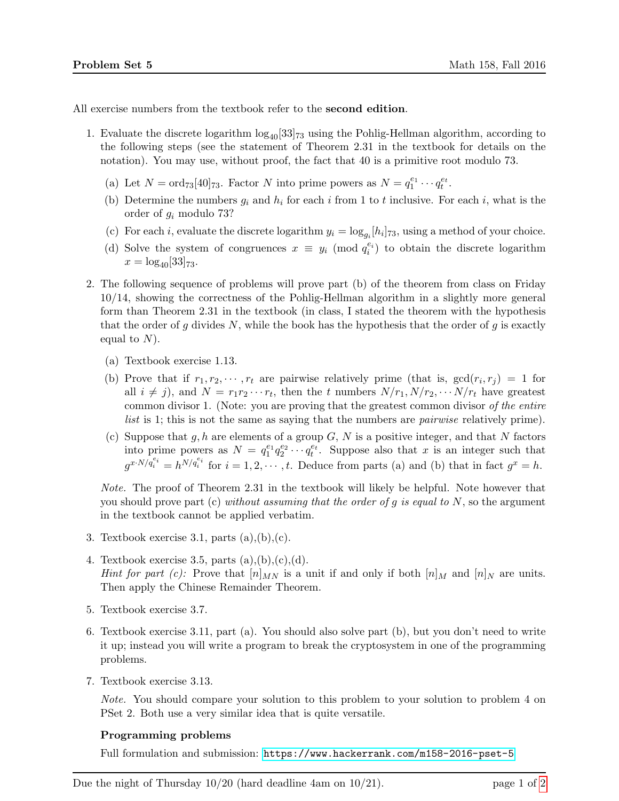All exercise numbers from the textbook refer to the second edition.

- 1. Evaluate the discrete logarithm  $\log_{40}[33]_{73}$  using the Pohlig-Hellman algorithm, according to the following steps (see the statement of Theorem 2.31 in the textbook for details on the notation). You may use, without proof, the fact that 40 is a primitive root modulo 73.
	- (a) Let  $N = \text{ord}_{73}[40]_{73}$ . Factor N into prime powers as  $N = q_1^{e_1} \cdots q_t^{e_t}$ .
	- (b) Determine the numbers  $g_i$  and  $h_i$  for each i from 1 to t inclusive. For each i, what is the order of g<sup>i</sup> modulo 73?
	- (c) For each *i*, evaluate the discrete logarithm  $y_i = \log_{g_i}[h_i]_{73}$ , using a method of your choice.
	- (d) Solve the system of congruences  $x \equiv y_i \pmod{q_i^{e_i}}$  to obtain the discrete logarithm  $x = \log_{40}[33]_{73}.$
- 2. The following sequence of problems will prove part (b) of the theorem from class on Friday 10/14, showing the correctness of the Pohlig-Hellman algorithm in a slightly more general form than Theorem 2.31 in the textbook (in class, I stated the theorem with the hypothesis that the order of g divides N, while the book has the hypothesis that the order of g is exactly equal to  $N$ ).
	- (a) Textbook exercise 1.13.
	- (b) Prove that if  $r_1, r_2, \dots, r_t$  are pairwise relatively prime (that is,  $gcd(r_i, r_j) = 1$  for all  $i \neq j$ , and  $N = r_1 r_2 \cdots r_t$ , then the t numbers  $N/r_1, N/r_2, \cdots N/r_t$  have greatest common divisor 1. (Note: you are proving that the greatest common divisor of the entire list is 1; this is not the same as saying that the numbers are pairwise relatively prime).
	- (c) Suppose that g, h are elements of a group  $G, N$  is a positive integer, and that N factors into prime powers as  $N = q_1^{e_1} q_2^{e_2} \cdots q_t^{e_t}$ . Suppose also that x is an integer such that  $g^{x \cdot N/q_i^{e_i}} = h^{N/q_i^{e_i}}$  for  $i = 1, 2, \cdots, t$ . Deduce from parts (a) and (b) that in fact  $g^x = h$ .

Note. The proof of Theorem 2.31 in the textbook will likely be helpful. Note however that you should prove part (c) without assuming that the order of g is equal to  $N$ , so the argument in the textbook cannot be applied verbatim.

- 3. Textbook exercise 3.1, parts  $(a),(b),(c)$ .
- 4. Textbook exercise 3.5, parts  $(a),(b),(c),(d)$ . *Hint for part (c):* Prove that  $[n]_{MN}$  is a unit if and only if both  $[n]_M$  and  $[n]_N$  are units. Then apply the Chinese Remainder Theorem.
- 5. Textbook exercise 3.7.
- 6. Textbook exercise 3.11, part (a). You should also solve part (b), but you don't need to write it up; instead you will write a program to break the cryptosystem in one of the programming problems.
- 7. Textbook exercise 3.13.

Note. You should compare your solution to this problem to your solution to problem 4 on PSet 2. Both use a very similar idea that is quite versatile.

## Programming problems

Full formulation and submission: <https://www.hackerrank.com/m158-2016-pset-5>